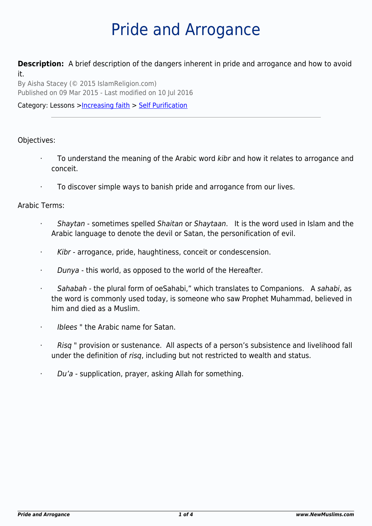# Pride and Arrogance

**Description:** A brief description of the dangers inherent in pride and arrogance and how to avoid it.

By Aisha Stacey (© 2015 IslamReligion.com) Published on 09 Mar 2015 - Last modified on 10 Jul 2016

Category: Lessons >[Increasing faith](http://www.newmuslims.com/category/137/) > [Self Purification](http://www.newmuslims.com/category/169/)

### Objectives:

- · To understand the meaning of the Arabic word kibr and how it relates to arrogance and conceit.
- · To discover simple ways to banish pride and arrogance from our lives.

#### Arabic Terms:

- Shaytan sometimes spelled Shaitan or Shaytaan. It is the word used in Islam and the Arabic language to denote the devil or Satan, the personification of evil.
- · Kibr arrogance, pride, haughtiness, conceit or condescension.
- Dunya this world, as opposed to the world of the Hereafter.
- Sahabah the plural form of oeSahabi," which translates to Companions. A sahabi, as the word is commonly used today, is someone who saw Prophet Muhammad, believed in him and died as a Muslim.
- · Iblees " the Arabic name for Satan.
- Risg " provision or sustenance. All aspects of a person's subsistence and livelihood fall under the definition of *risg*, including but not restricted to wealth and status.
- Du'a supplication, prayer, asking Allah for something.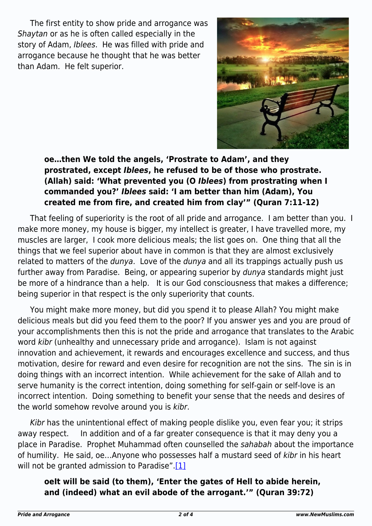The first entity to show pride and arrogance was Shaytan or as he is often called especially in the story of Adam, Iblees. He was filled with pride and arrogance because he thought that he was better than Adam. He felt superior.



## **oe…then We told the angels, 'Prostrate to Adam', and they prostrated, except** *Iblees***, he refused to be of those who prostrate. (Allah) said: 'What prevented you (O** *Iblees***) from prostrating when I commanded you?'** *Iblees* **said: 'I am better than him (Adam), You created me from fire, and created him from clay'" (Quran 7:11-12)**

That feeling of superiority is the root of all pride and arrogance. I am better than you. I make more money, my house is bigger, my intellect is greater, I have travelled more, my muscles are larger, I cook more delicious meals; the list goes on. One thing that all the things that we feel superior about have in common is that they are almost exclusively related to matters of the *dunya*. Love of the *dunya* and all its trappings actually push us further away from Paradise. Being, or appearing superior by dunya standards might just be more of a hindrance than a help. It is our God consciousness that makes a difference; being superior in that respect is the only superiority that counts.

You might make more money, but did you spend it to please Allah? You might make delicious meals but did you feed them to the poor? If you answer yes and you are proud of your accomplishments then this is not the pride and arrogance that translates to the Arabic word kibr (unhealthy and unnecessary pride and arrogance). Islam is not against innovation and achievement, it rewards and encourages excellence and success, and thus motivation, desire for reward and even desire for recognition are not the sins. The sin is in doing things with an incorrect intention. While achievement for the sake of Allah and to serve humanity is the correct intention, doing something for self-gain or self-love is an incorrect intention. Doing something to benefit your sense that the needs and desires of the world somehow revolve around you is kibr.

<span id="page-1-0"></span>Kibr has the unintentional effect of making people dislike you, even fear you; it strips away respect. In addition and of a far greater consequence is that it may deny you a place in Paradise. Prophet Muhammad often counselled the sahabah about the importance of humility. He said, oe…Anyone who possesses half a mustard seed of kibr in his heart will not be granted admission to Paradise". $[1]$ 

## **oeIt will be said (to them), 'Enter the gates of Hell to abide herein, and (indeed) what an evil abode of the arrogant.'" (Quran 39:72)**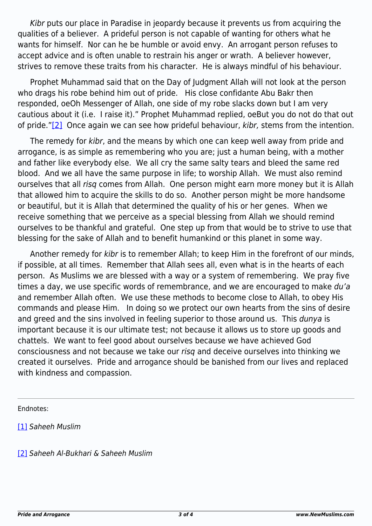Kibr puts our place in Paradise in jeopardy because it prevents us from acquiring the qualities of a believer. A prideful person is not capable of wanting for others what he wants for himself. Nor can he be humble or avoid envy. An arrogant person refuses to accept advice and is often unable to restrain his anger or wrath. A believer however, strives to remove these traits from his character. He is always mindful of his behaviour.

Prophet Muhammad said that on the Day of Judgment Allah will not look at the person who drags his robe behind him out of pride. His close confidante Abu Bakr then responded, oeOh Messenger of Allah, one side of my robe slacks down but I am very cautious about it (i.e. I raise it)." Prophet Muhammad replied, oeBut you do not do that out of pride." $[2]$  Once again we can see how prideful behaviour, kibr, stems from the intention.

<span id="page-2-2"></span>The remedy for kibr, and the means by which one can keep well away from pride and arrogance, is as simple as remembering who you are; just a human being, with a mother and father like everybody else. We all cry the same salty tears and bleed the same red blood. And we all have the same purpose in life; to worship Allah. We must also remind ourselves that all risq comes from Allah. One person might earn more money but it is Allah that allowed him to acquire the skills to do so. Another person might be more handsome or beautiful, but it is Allah that determined the quality of his or her genes. When we receive something that we perceive as a special blessing from Allah we should remind ourselves to be thankful and grateful. One step up from that would be to strive to use that blessing for the sake of Allah and to benefit humankind or this planet in some way.

Another remedy for kibr is to remember Allah; to keep Him in the forefront of our minds, if possible, at all times. Remember that Allah sees all, even what is in the hearts of each person. As Muslims we are blessed with a way or a system of remembering. We pray five times a day, we use specific words of remembrance, and we are encouraged to make du'a and remember Allah often. We use these methods to become close to Allah, to obey His commands and please Him. In doing so we protect our own hearts from the sins of desire and greed and the sins involved in feeling superior to those around us. This *dunya* is important because it is our ultimate test; not because it allows us to store up goods and chattels. We want to feel good about ourselves because we have achieved God consciousness and not because we take our risq and deceive ourselves into thinking we created it ourselves. Pride and arrogance should be banished from our lives and replaced with kindness and compassion.

<span id="page-2-0"></span>Endnotes:

[\[1\]](#page-1-0) Saheeh Muslim

<span id="page-2-1"></span>[\[2\]](#page-2-2) Saheeh Al-Bukhari & Saheeh Muslim